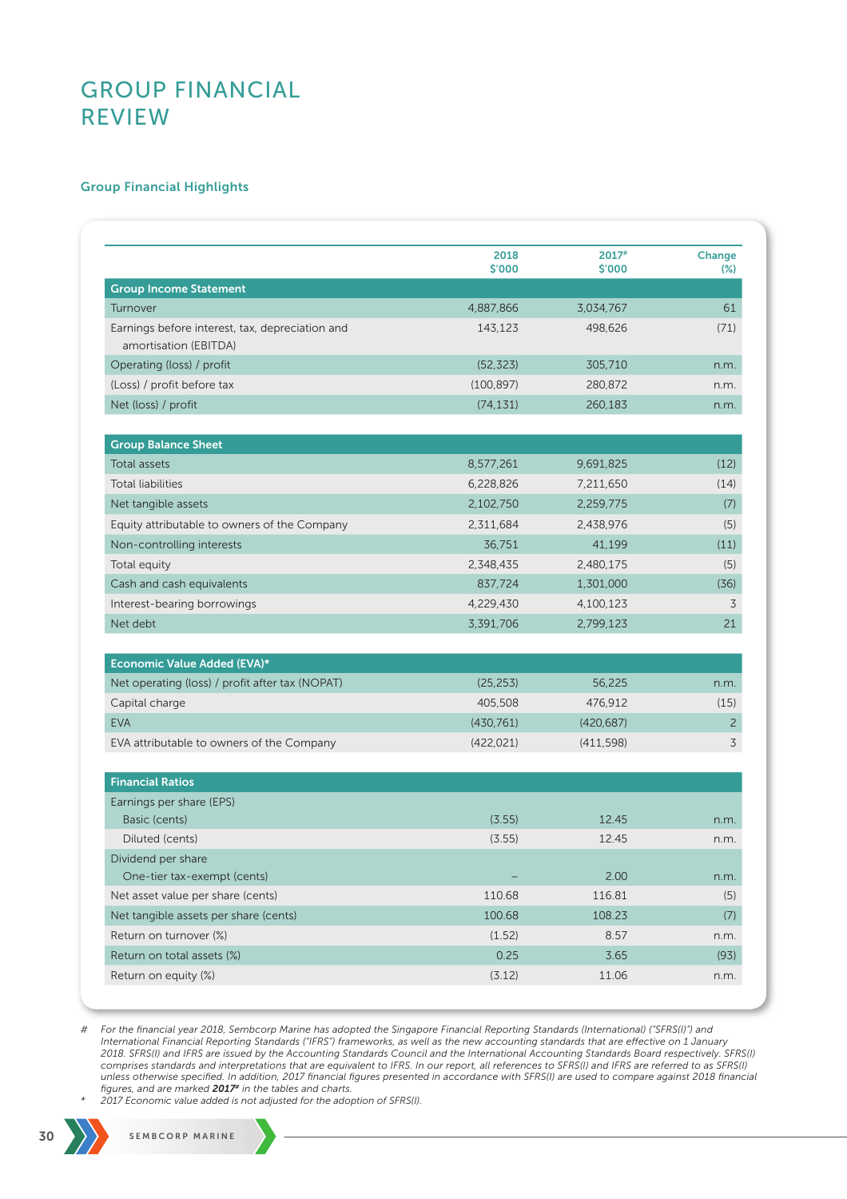### Group Financial Highlights

|                                                                          | 2018<br>\$'000 | $2017$ #<br>\$'000 | Change<br>$(\%)$ |
|--------------------------------------------------------------------------|----------------|--------------------|------------------|
| <b>Group Income Statement</b>                                            |                |                    |                  |
| Turnover                                                                 | 4,887,866      | 3,034,767          | 61               |
| Earnings before interest, tax, depreciation and<br>amortisation (EBITDA) | 143,123        | 498,626            | (71)             |
| Operating (loss) / profit                                                | (52, 323)      | 305,710            | n.m.             |
| (Loss) / profit before tax                                               | (100, 897)     | 280,872            | n.m.             |
| Net (loss) / profit                                                      | (74, 131)      | 260,183            | n.m.             |
| <b>Group Balance Sheet</b>                                               |                |                    |                  |
| <b>Total assets</b>                                                      | 8,577,261      | 9,691,825          | (12)             |
| <b>Total liabilities</b>                                                 | 6,228,826      | 7,211,650          | (14)             |
| Net tangible assets                                                      | 2,102,750      | 2,259,775          | (7)              |
| Equity attributable to owners of the Company                             | 2,311,684      | 2,438,976          | (5)              |
| Non-controlling interests                                                | 36,751         | 41,199             | (11)             |
| Total equity                                                             | 2.348.435      | 2,480,175          | (5)              |
| Cash and cash equivalents                                                | 837,724        | 1,301,000          | (36)             |
| Interest-bearing borrowings                                              | 4,229,430      | 4,100,123          | 3                |
| Net debt                                                                 | 3,391,706      | 2,799,123          | 21               |
| Economic Value Added (EVA)*                                              |                |                    |                  |
| Net operating (loss) / profit after tax (NOPAT)                          | (25, 253)      | 56,225             | n.m.             |
| Capital charge                                                           | 405,508        | 476,912            | (15)             |
| <b>EVA</b>                                                               | (430, 761)     | (420, 687)         | $\overline{c}$   |
| EVA attributable to owners of the Company                                | (422, 021)     | (411,598)          | 3                |
| <b>Financial Ratios</b>                                                  |                |                    |                  |
| Earnings per share (EPS)                                                 |                |                    |                  |
| Basic (cents)                                                            | (3.55)         | 12.45              | n.m.             |
| Diluted (cents)                                                          | (3.55)         | 12.45              | n.m.             |
| Dividend per share<br>One-tier tax-exempt (cents)                        |                | 2.00               | n.m.             |
| Net asset value per share (cents)                                        | 110.68         | 116.81             | (5)              |
| Net tangible assets per share (cents)                                    | 100.68         | 108.23             | (7)              |
| Return on turnover (%)                                                   | (1.52)         | 8.57               | n.m.             |
| Return on total assets (%)                                               | 0.25           | 3.65               | (93)             |
| Return on equity (%)                                                     | (3.12)         | 11.06              | n.m.             |

*# For the financial year 2018, Sembcorp Marine has adopted the Singapore Financial Reporting Standards (International) ("SFRS(I)") and*  International Financial Reporting Standards ("IFRS") frameworks, as well as the new accounting standards that are effective on 1 January *2018. SFRS(I) and IFRS are issued by the Accounting Standards Council and the International Accounting Standards Board respectively. SFRS(I) comprises standards and interpretations that are equivalent to IFRS. In our report, all references to SFRS(I) and IFRS are referred to as SFRS(I)*  unless otherwise specified. In addition, 2017 financial figures presented in accordance with SFRS(I) are used to compare against 2018 financial<br>figures, and are marked **2017#** in the tables and charts.

*\* 2017 Economic value added is not adjusted for the adoption of SFRS(I).*

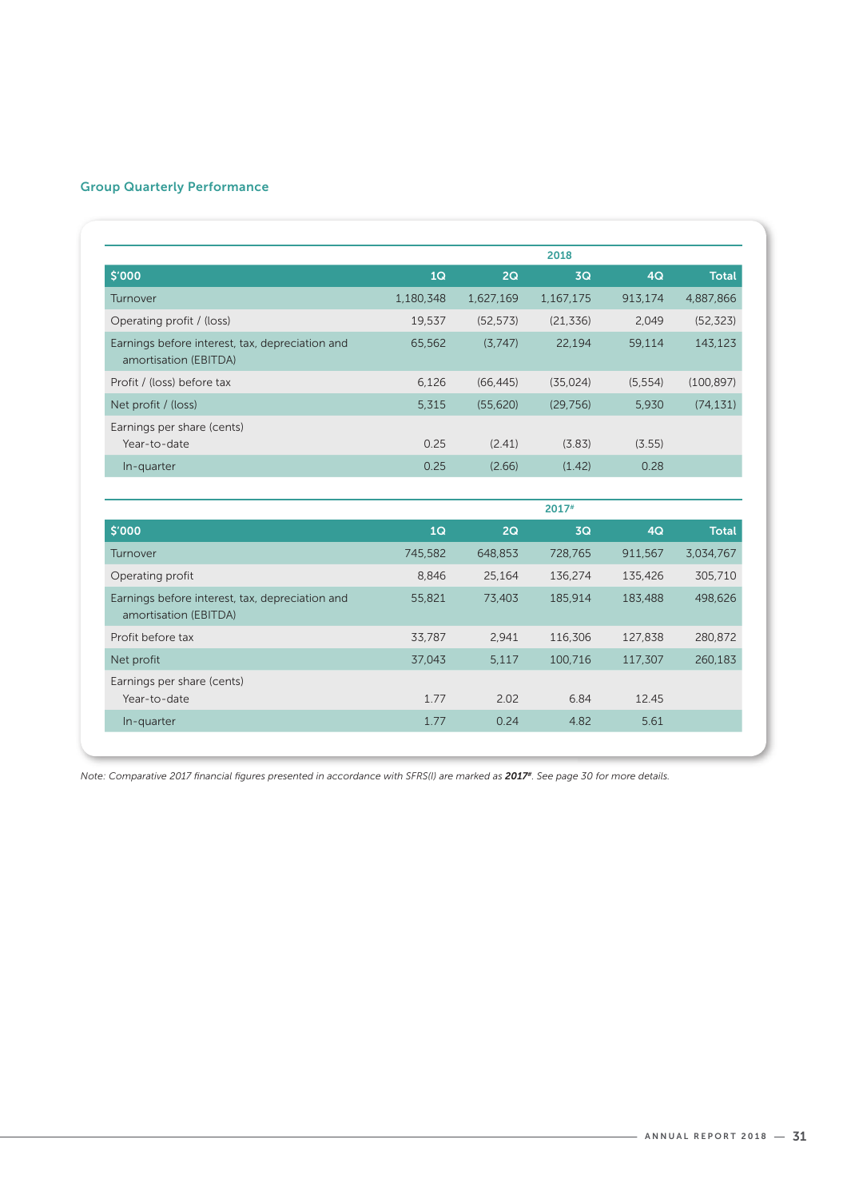## Group Quarterly Performance

| \$'000                                                                   | 1Q        | 2Q        | 3Q        | 4Q       | <b>Total</b> |
|--------------------------------------------------------------------------|-----------|-----------|-----------|----------|--------------|
| Turnover                                                                 | 1,180,348 | 1,627,169 | 1,167,175 | 913,174  | 4,887,866    |
| Operating profit / (loss)                                                | 19,537    | (52, 573) | (21, 336) | 2.049    | (52, 323)    |
| Earnings before interest, tax, depreciation and<br>amortisation (EBITDA) | 65,562    | (3.747)   | 22,194    | 59,114   | 143.123      |
| Profit / (loss) before tax                                               | 6,126     | (66, 445) | (35,024)  | (5, 554) | (100, 897)   |
| Net profit / (loss)                                                      | 5,315     | (55,620)  | (29, 756) | 5.930    | (74, 131)    |
| Earnings per share (cents)<br>Year-to-date                               | 0.25      | (2.41)    | (3.83)    | (3.55)   |              |
| In-quarter                                                               | 0.25      | (2.66)    | (1.42)    | 0.28     |              |

|                                                                          | $2017$ <sup>#</sup> |         |         |         |              |  |
|--------------------------------------------------------------------------|---------------------|---------|---------|---------|--------------|--|
| \$'000                                                                   | 1Q                  | 2Q      | 3Q      | 4Q      | <b>Total</b> |  |
| Turnover                                                                 | 745.582             | 648,853 | 728,765 | 911.567 | 3,034,767    |  |
| Operating profit                                                         | 8.846               | 25.164  | 136.274 | 135,426 | 305,710      |  |
| Earnings before interest, tax, depreciation and<br>amortisation (EBITDA) | 55,821              | 73,403  | 185,914 | 183,488 | 498,626      |  |
| Profit before tax                                                        | 33,787              | 2.941   | 116,306 | 127,838 | 280,872      |  |
| Net profit                                                               | 37.043              | 5,117   | 100,716 | 117,307 | 260,183      |  |
| Earnings per share (cents)<br>Year-to-date                               | 1.77                | 2.02    | 6.84    | 12.45   |              |  |
| In-quarter                                                               | 1.77                | 0.24    | 4.82    | 5.61    |              |  |
|                                                                          |                     |         |         |         |              |  |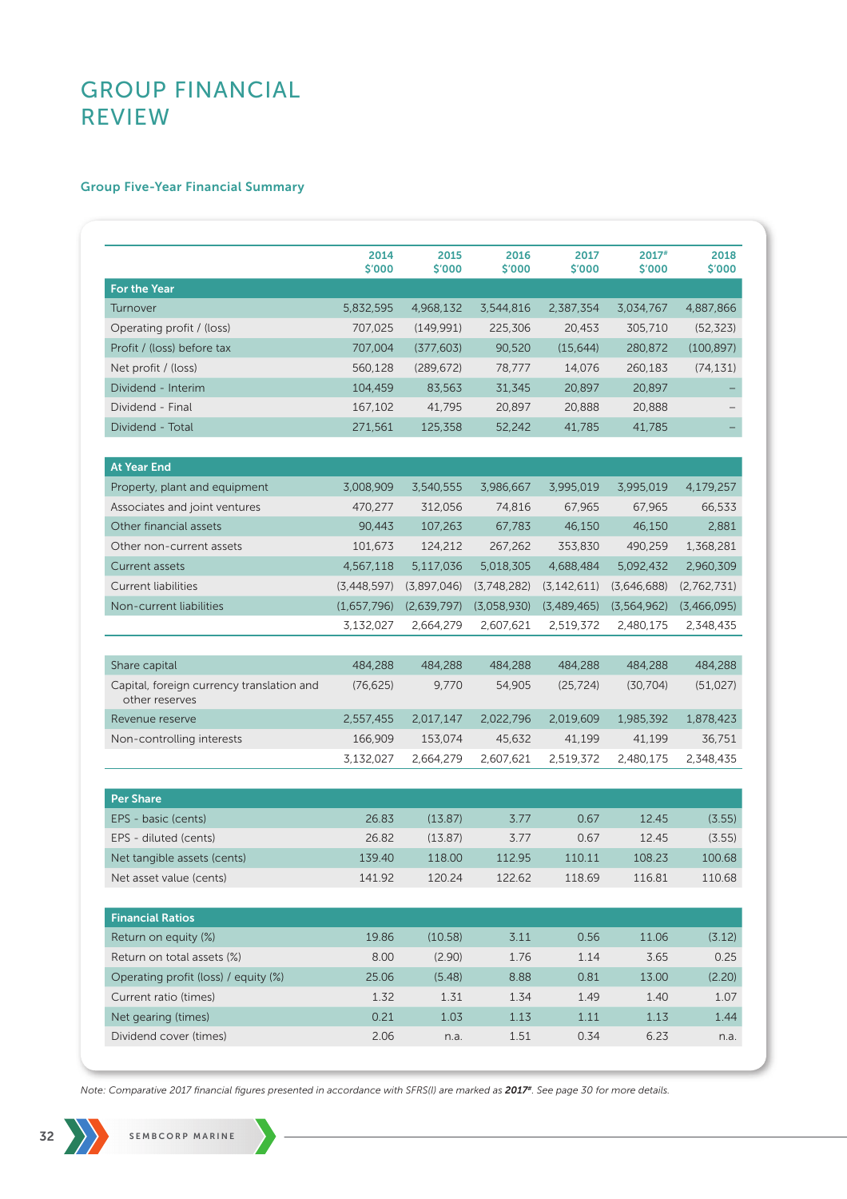## Group Five-Year Financial Summary

|                                                             | 2014<br>\$'000 | 2015<br>\$'000 | 2016<br>\$'000 | 2017<br>\$'000 | 2017#<br>\$'000 | 2018<br>\$'000 |
|-------------------------------------------------------------|----------------|----------------|----------------|----------------|-----------------|----------------|
| <b>For the Year</b>                                         |                |                |                |                |                 |                |
| Turnover                                                    | 5,832,595      | 4,968,132      | 3,544,816      | 2,387,354      | 3,034,767       | 4,887,866      |
| Operating profit / (loss)                                   | 707,025        | (149,991)      | 225,306        | 20,453         | 305,710         | (52, 323)      |
| Profit / (loss) before tax                                  | 707,004        | (377, 603)     | 90,520         | (15, 644)      | 280,872         | (100, 897)     |
| Net profit / (loss)                                         | 560,128        | (289, 672)     | 78,777         | 14,076         | 260,183         | (74, 131)      |
| Dividend - Interim                                          | 104,459        | 83,563         | 31,345         | 20,897         | 20,897          |                |
| Dividend - Final                                            | 167,102        | 41,795         | 20,897         | 20,888         | 20,888          |                |
| Dividend - Total                                            | 271,561        | 125,358        | 52,242         | 41,785         | 41.785          |                |
| <b>At Year End</b>                                          |                |                |                |                |                 |                |
| Property, plant and equipment                               | 3,008,909      | 3,540,555      | 3,986,667      | 3,995,019      | 3,995,019       | 4,179,257      |
| Associates and joint ventures                               | 470,277        | 312,056        | 74,816         | 67,965         | 67,965          | 66,533         |
| Other financial assets                                      | 90,443         | 107,263        | 67,783         | 46,150         | 46,150          | 2,881          |
| Other non-current assets                                    | 101,673        | 124,212        | 267,262        | 353,830        | 490.259         | 1,368,281      |
| Current assets                                              | 4,567,118      | 5,117,036      | 5,018,305      | 4,688,484      | 5,092,432       | 2,960,309      |
| <b>Current liabilities</b>                                  | (3,448,597)    | (3,897,046)    | (3,748,282)    | (3, 142, 611)  | (3,646,688)     | (2,762,731)    |
| Non-current liabilities                                     | (1,657,796)    | (2,639,797)    | (3,058,930)    | (3,489,465)    | (3,564,962)     | (3,466,095)    |
|                                                             | 3,132,027      | 2,664,279      | 2,607,621      | 2,519,372      | 2,480,175       | 2,348,435      |
| Share capital                                               | 484,288        | 484,288        | 484,288        | 484,288        | 484,288         | 484,288        |
| Capital, foreign currency translation and<br>other reserves | (76, 625)      | 9,770          | 54,905         | (25, 724)      | (30, 704)       | (51, 027)      |
| Revenue reserve                                             | 2,557,455      | 2,017,147      | 2,022,796      | 2,019,609      | 1,985,392       | 1,878,423      |
| Non-controlling interests                                   | 166,909        | 153,074        | 45,632         | 41,199         | 41,199          | 36,751         |
|                                                             | 3,132,027      | 2,664,279      | 2,607,621      | 2,519,372      | 2,480,175       | 2,348,435      |
| <b>Per Share</b>                                            |                |                |                |                |                 |                |
| EPS - basic (cents)                                         | 26.83          | (13.87)        | 3.77           | 0.67           | 12.45           | (3.55)         |
| EPS - diluted (cents)                                       | 26.82          | (13.87)        | 3.77           | 0.67           | 12.45           | (3.55)         |
| Net tangible assets (cents)                                 | 139.40         | 118.00         | 112.95         | 110.11         | 108.23          | 100.68         |
| Net asset value (cents)                                     | 141.92         | 120.24         | 122.62         | 118.69         | 116.81          | 110.68         |
| <b>Financial Ratios</b>                                     |                |                |                |                |                 |                |
| Return on equity (%)                                        | 19.86          | (10.58)        | 3.11           | 0.56           | 11.06           | (3.12)         |
| Return on total assets (%)                                  | 8.00           | (2.90)         | 1.76           | 1.14           | 3.65            | 0.25           |
| Operating profit (loss) / equity (%)                        | 25.06          | (5.48)         | 8.88           | 0.81           | 13.00           | (2.20)         |
| Current ratio (times)                                       | 1.32           | 1.31           | 1.34           | 1.49           | 1.40            | 1.07           |
| Net gearing (times)                                         | 0.21           | 1.03           | 1.13           | $1.11$         | 1.13            | 1.44           |
| Dividend cover (times)                                      | 2.06           | n.a.           | 1.51           | 0.34           | 6.23            | n.a.           |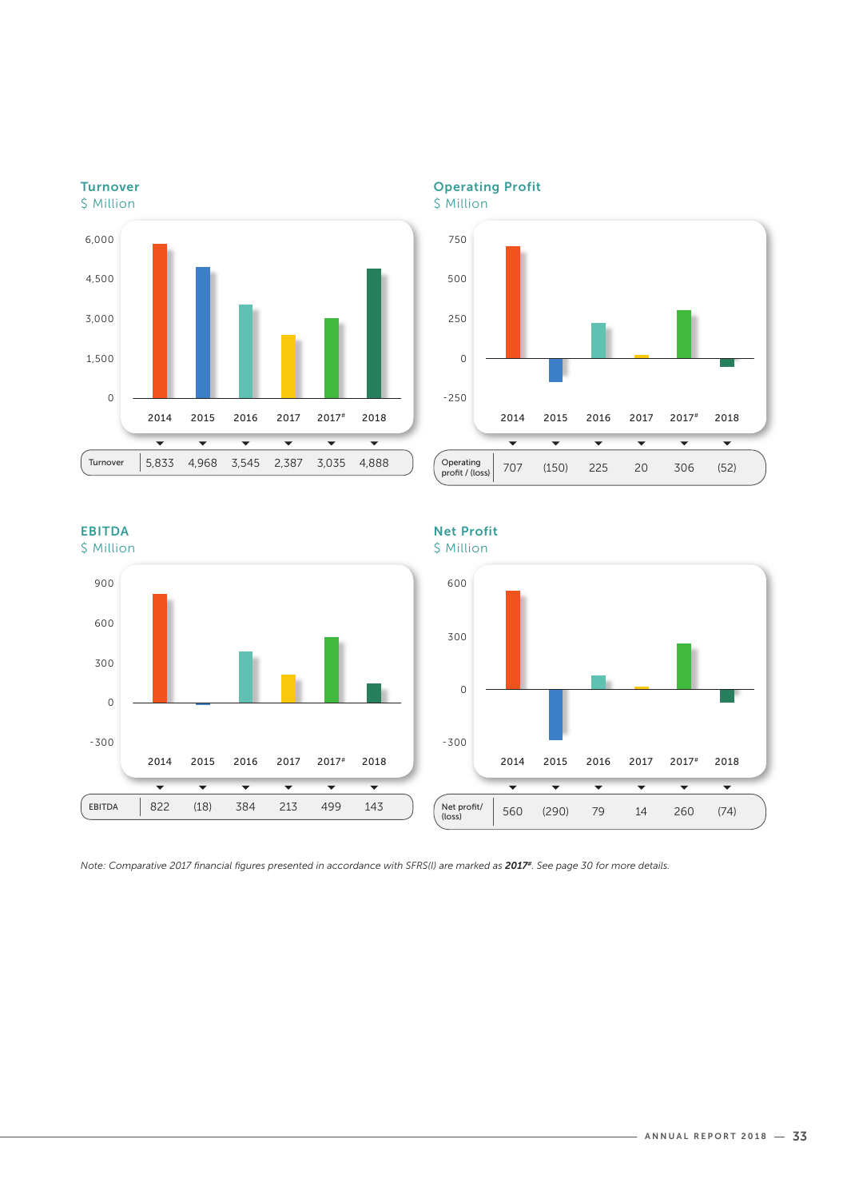

Operating Profit

\$ Million



## EBITDA



## Net Profit

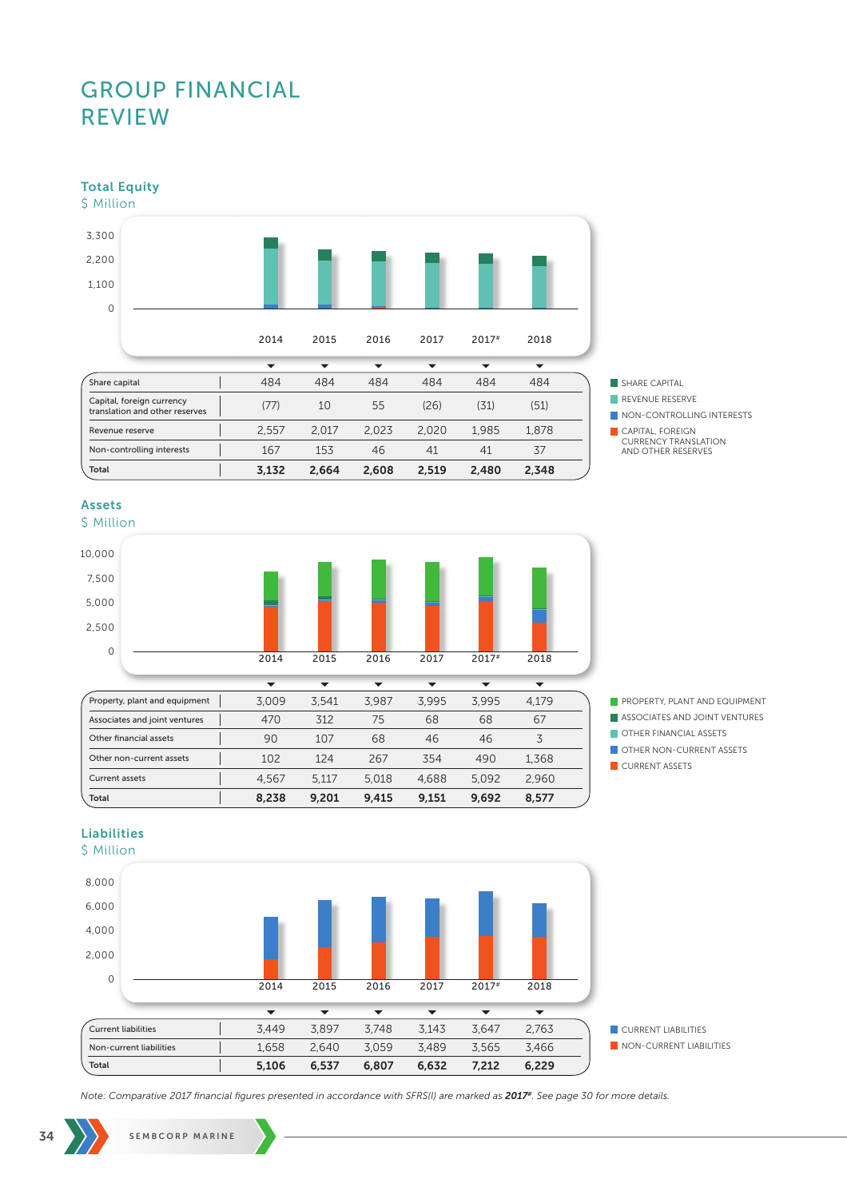Total Equity



SHARE CAPITAL

**REVENUE RESERVE** 

CAPITAL, FOREIGN CURRENCY TRANSLATION AND OTHER RESERVES

## Assets

\$ Million





**ASSOCIATES AND JOINT VENTURES** 

- **OTHER FINANCIAL ASSETS**
- OTHER NON-CURRENT ASSETS
- **CURRENT ASSETS**

## Liabilities



NON-CONTROLLING INTERESTS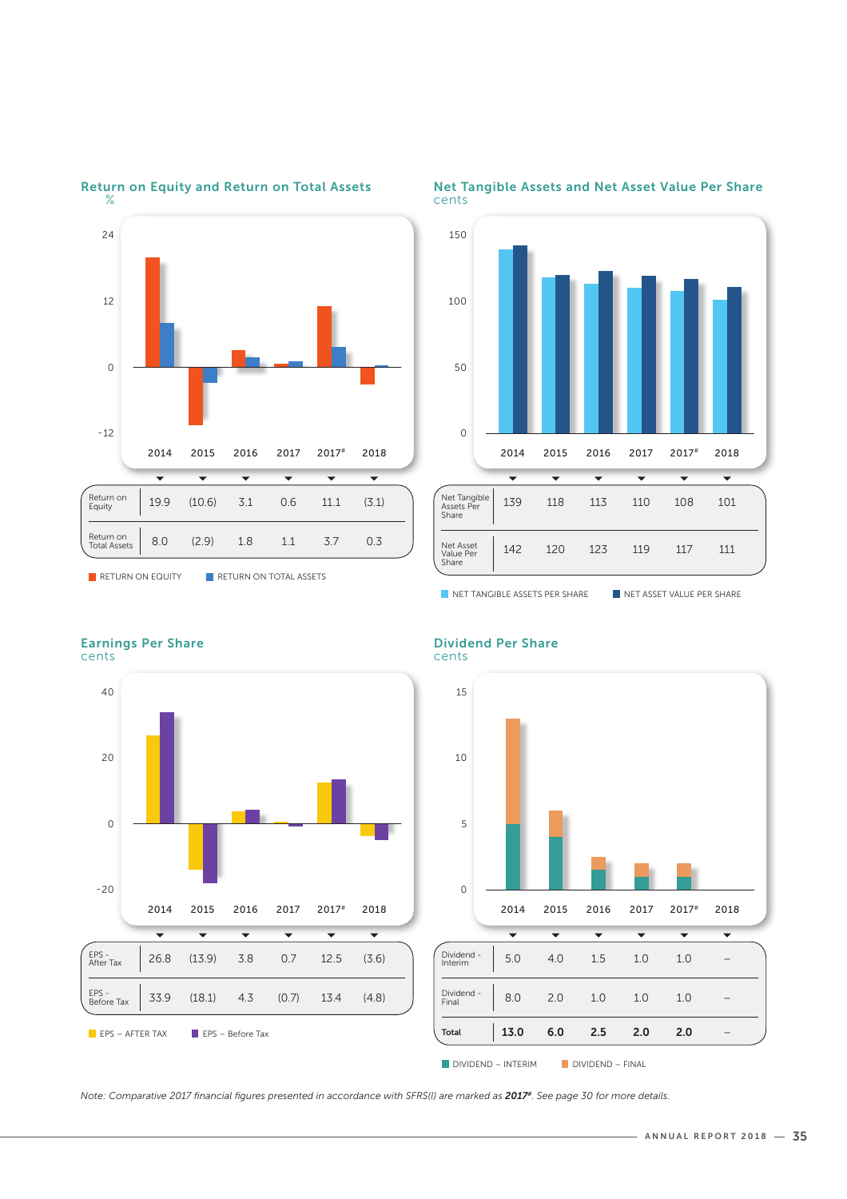

Return on Equity and Return on Total Assets



#### Net Tangible Assets and Net Asset Value Per Share cents





#### Dividend Per Share cents



Earnings Per Share

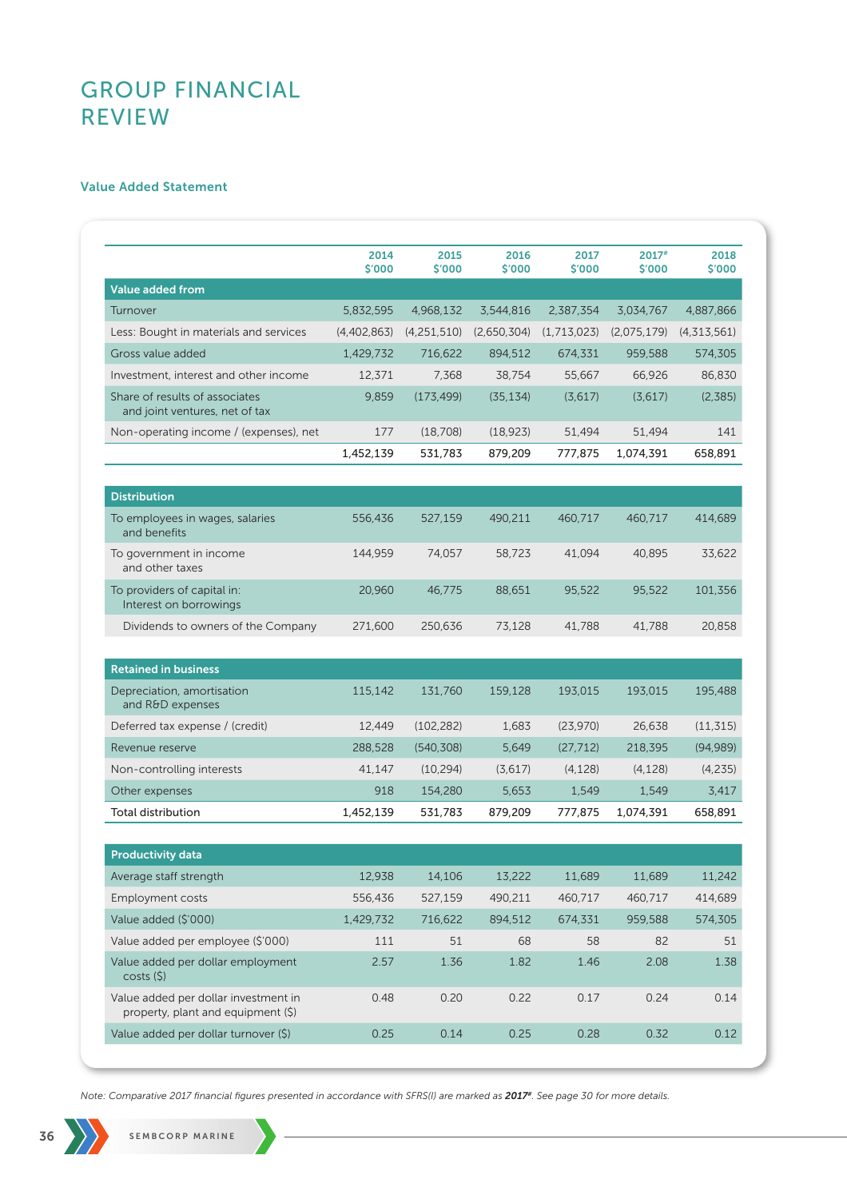## Value Added Statement

|                                                                            | 2014<br>\$'000 | 2015<br>\$'000 | 2016<br>\$'000 | 2017<br>\$'000 | $2017$ #<br>\$'000 | 2018<br>\$'000 |
|----------------------------------------------------------------------------|----------------|----------------|----------------|----------------|--------------------|----------------|
| <b>Value added from</b>                                                    |                |                |                |                |                    |                |
| Turnover                                                                   | 5,832,595      | 4,968,132      | 3,544,816      | 2,387,354      | 3,034,767          | 4,887,866      |
| Less: Bought in materials and services                                     | (4,402,863)    | (4,251,510)    | (2,650,304)    | (1,713,023)    | (2,075,179)        | (4,313,561)    |
| Gross value added                                                          | 1,429,732      | 716,622        | 894,512        | 674,331        | 959,588            | 574,305        |
| Investment, interest and other income                                      | 12,371         | 7.368          | 38,754         | 55,667         | 66,926             | 86,830         |
| Share of results of associates<br>and joint ventures, net of tax           | 9,859          | (173.499)      | (35, 134)      | (3,617)        | (3,617)            | (2,385)        |
| Non-operating income / (expenses), net                                     | 177            | (18,708)       | (18, 923)      | 51,494         | 51,494             | 141            |
|                                                                            | 1,452,139      | 531,783        | 879,209        | 777,875        | 1,074,391          | 658,891        |
|                                                                            |                |                |                |                |                    |                |
| <b>Distribution</b>                                                        |                |                |                |                |                    |                |
| To employees in wages, salaries<br>and benefits                            | 556,436        | 527,159        | 490,211        | 460,717        | 460,717            | 414,689        |
| To government in income<br>and other taxes                                 | 144,959        | 74,057         | 58,723         | 41,094         | 40,895             | 33,622         |
| To providers of capital in:<br>Interest on borrowings                      | 20,960         | 46,775         | 88,651         | 95,522         | 95,522             | 101,356        |
| Dividends to owners of the Company                                         | 271,600        | 250,636        | 73,128         | 41,788         | 41.788             | 20,858         |
| <b>Retained in business</b>                                                |                |                |                |                |                    |                |
| Depreciation, amortisation<br>and R&D expenses                             | 115,142        | 131,760        | 159,128        | 193,015        | 193,015            | 195,488        |
| Deferred tax expense / (credit)                                            | 12,449         | (102, 282)     | 1,683          | (23,970)       | 26,638             | (11, 315)      |
| Revenue reserve                                                            | 288,528        | (540, 308)     | 5,649          | (27, 712)      | 218,395            | (94, 989)      |
| Non-controlling interests                                                  | 41,147         | (10, 294)      | (3,617)        | (4, 128)       | (4, 128)           | (4,235)        |
| Other expenses                                                             | 918            | 154,280        | 5,653          | 1,549          | 1,549              | 3,417          |
| Total distribution                                                         | 1,452,139      | 531,783        | 879,209        | 777,875        | 1,074,391          | 658,891        |
| <b>Productivity data</b>                                                   |                |                |                |                |                    |                |
| Average staff strength                                                     | 12,938         | 14,106         | 13,222         | 11,689         | 11,689             | 11,242         |
| <b>Employment costs</b>                                                    | 556,436        | 527,159        | 490,211        | 460,717        | 460,717            | 414,689        |
| Value added (\$'000)                                                       | 1,429,732      | 716,622        | 894,512        | 674,331        | 959,588            | 574,305        |
| Value added per employee (\$'000)                                          | 111            | 51             | 68             | 58             | 82                 | 51             |
| Value added per dollar employment<br>costs (\$)                            | 2.57           | 1.36           | 1.82           | 1.46           | 2.08               | 1.38           |
| Value added per dollar investment in<br>property, plant and equipment (\$) | 0.48           | 0.20           | 0.22           | 0.17           | 0.24               | 0.14           |
|                                                                            |                |                |                |                |                    |                |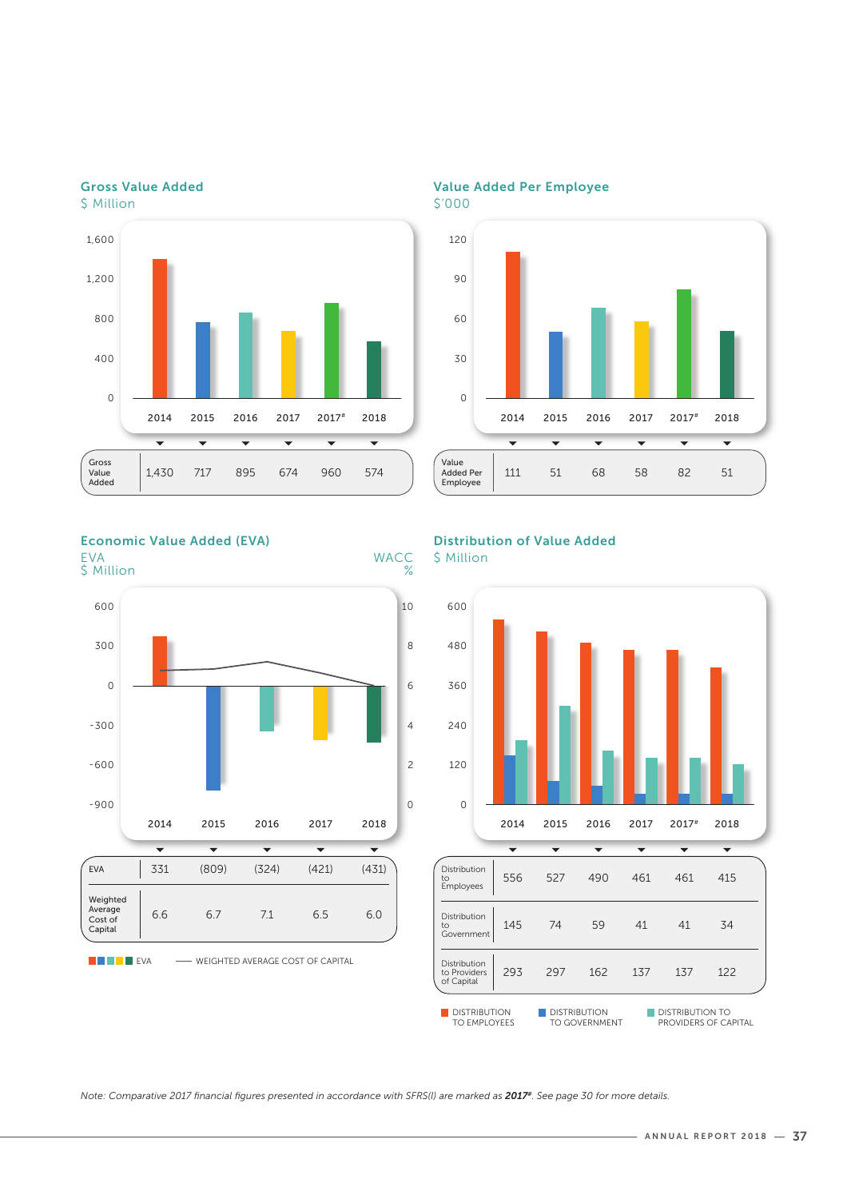

Value Added Per Employee



2014 2015 2016 2017 2017# 2018

 $\overline{\phantom{0}}$ 

 $\overline{\phantom{0}}$ 

 $\overline{\phantom{0}}$ 

 $\overline{\phantom{0}}$ 

111 51 68 58 82 51

### Gross Value Added \$ Million





## Distribution of Value Added

پ

پ

\$ Million

 $\overline{O}$ 

Value<br>Added Per Employee

**WACC**